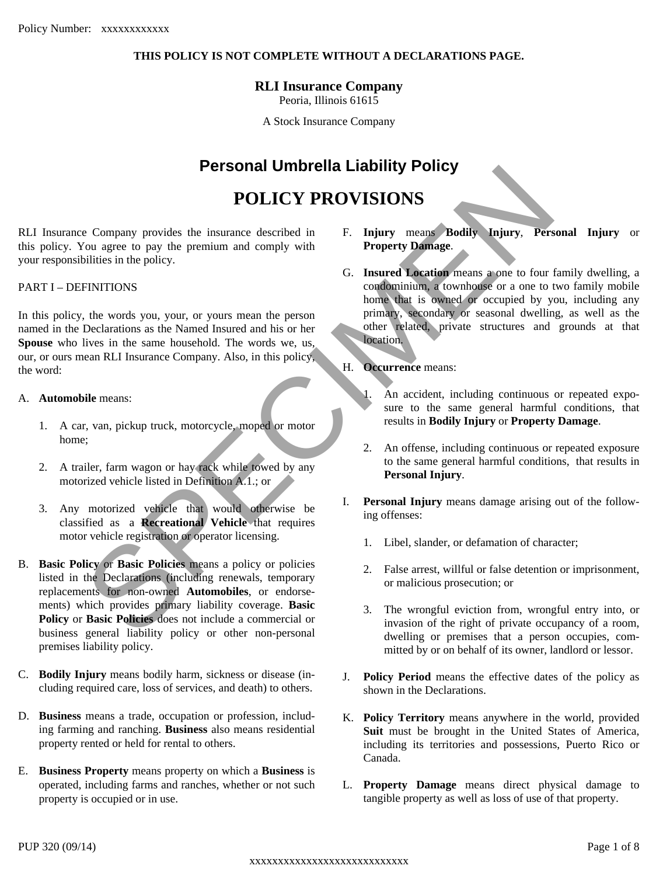### **THIS POLICY IS NOT COMPLETE WITHOUT A DECLARATIONS PAGE.**

### **RLI Insurance Company**

Peoria, Illinois 61615

A Stock Insurance Company

## **Personal Umbrella Liability Policy**

# **POLICY PROVISIONS**

RLI Insurance Company provides the insurance described in F. this policy. You agree to pay the premium and comply with your responsibilities in the policy.

#### PART I – DEFINITIONS

In this policy, the words you, your, or yours mean the person named in the Declarations as the Named Insured and his or her **Spouse** who lives in the same household. The words we, us, our, or ours mean RLI Insurance Company. Also, in this policy,<br>the word: the word:

### A. **Automobile** means:

- 1. A car, van, pickup truck, motorcycle, moped or motor home;
- 2. A trailer, farm wagon or hay rack while towed by any motorized vehicle listed in Definition A.1.; or
- 3. Any motorized vehicle that would otherwise be classified as a **Recreational** Vehicle that requires motor vehicle registration or operator licensing.
- B. **Basic Policy** or **Basic Policies** means a policy or policies listed in the Declarations (including renewals, temporary replacements for non-owned **Automobiles**, or endorsements) which provides primary liability coverage. **Basic Policy** or **Basic Policies** does not include a commercial or business general liability policy or other non-personal premises liability policy.
- C. **Bodily Injury** means bodily harm, sickness or disease (including required care, loss of services, and death) to others.
- D. **Business** means a trade, occupation or profession, including farming and ranching. **Business** also means residential property rented or held for rental to others.
- E. **Business Property** means property on which a **Business** is operated, including farms and ranches, whether or not such property is occupied or in use.
- F. **Injury** means **Bodily Injury**, **Personal Injury** or **Property Damage**.
- **PERSONAL UNITSED MANUAL PROVISIONS**<br>
SCORIGING TO DESCRIPTIONS<br>
To a general provides in the policy and comply with<br>
FRITIONS<br>
United in the property of the property of the property of the property of the property of the G. **Insured Location** means a one to four family dwelling, a condominium, a townhouse or a one to two family mobile home that is owned or occupied by you, including any primary, secondary or seasonal dwelling, as well as the other related, private structures and grounds at that location.
	- **Occurrence** means:
		- An accident, including continuous or repeated exposure to the same general harmful conditions, that results in **Bodily Injury** or **Property Damage**.
		- 2. An offense, including continuous or repeated exposure to the same general harmful conditions, that results in **Personal Injury**.
	- **Personal Injury** means damage arising out of the following offenses:
		- 1. Libel, slander, or defamation of character;
		- 2. False arrest, willful or false detention or imprisonment, or malicious prosecution; or
		- 3. The wrongful eviction from, wrongful entry into, or invasion of the right of private occupancy of a room, dwelling or premises that a person occupies, committed by or on behalf of its owner, landlord or lessor.
	- **Policy Period** means the effective dates of the policy as shown in the Declarations.
	- K. **Policy Territory** means anywhere in the world, provided **Suit** must be brought in the United States of America, including its territories and possessions, Puerto Rico or Canada.
	- L. **Property Damage** means direct physical damage to tangible property as well as loss of use of that property.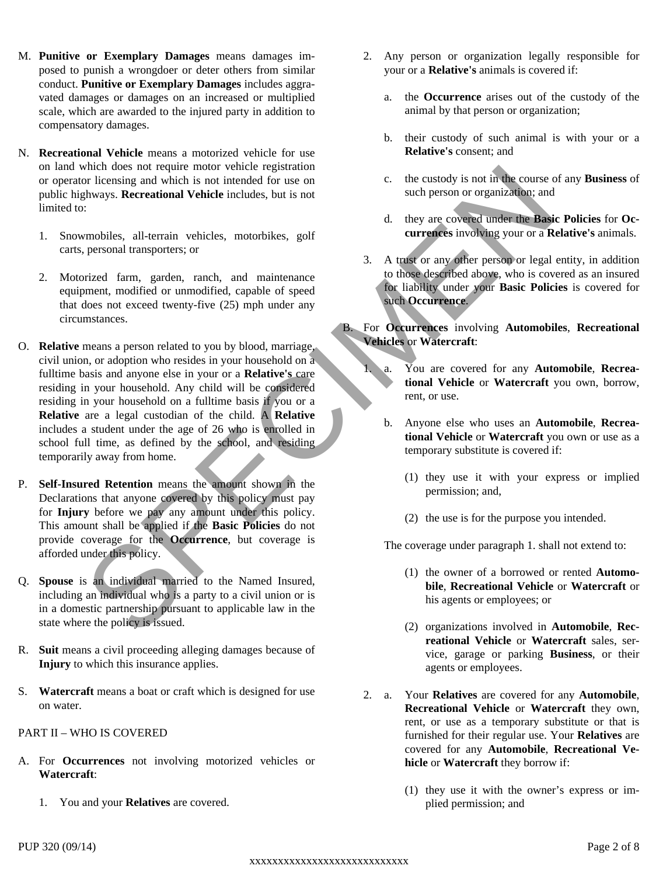- M. **Punitive or Exemplary Damages** means damages imposed to punish a wrongdoer or deter others from similar conduct. **Punitive or Exemplary Damages** includes aggravated damages or damages on an increased or multiplied scale, which are awarded to the injured party in addition to compensatory damages.
- N. **Recreational Vehicle** means a motorized vehicle for use on land which does not require motor vehicle registration or operator licensing and which is not intended for use on public highways. **Recreational Vehicle** includes, but is not limited to:
	- 1. Snowmobiles, all-terrain vehicles, motorbikes, golf carts, personal transporters; or
	- 2. Motorized farm, garden, ranch, and maintenance equipment, modified or unmodified, capable of speed that does not exceed twenty-five (25) mph under any circumstances.
- Which does not require movies when the registration<br>
with does not recent to the custody is not interesting and which is not interest on the custody is not interest on the such person or organization; and<br>  $\frac{1}{2}$  A dis O. **Relative** means a person related to you by blood, marriage, civil union, or adoption who resides in your household on a fulltime hosis and anyone else in your or a **Pelative's** care fulltime basis and anyone else in your or a **Relative's** care residing in your household. Any child will be considered residing in your household on a fulltime basis if you or a **Relative** are a legal custodian of the child. A **Relative** includes a student under the age of 26 who is enrolled in b. school full time, as defined by the school, and residing temporarily away from home.
- P. **Self-Insured Retention** means the amount shown in the Declarations that anyone covered by this policy must pay for **Injury** before we pay any amount under this policy. This amount shall be applied if the **Basic Policies** do not provide coverage for the **Occurrence**, but coverage is afforded under this policy.
- Q. **Spouse** is an individual married to the Named Insured, including an individual who is a party to a civil union or is in a domestic partnership pursuant to applicable law in the state where the policy is issued.
- R. **Suit** means a civil proceeding alleging damages because of **Injury** to which this insurance applies.
- S. **Watercraft** means a boat or craft which is designed for use on water.

### PART II – WHO IS COVERED

- A. For **Occurrences** not involving motorized vehicles or **Watercraft**:
	- 1. You and your **Relatives** are covered.
- 2. Any person or organization legally responsible for your or a **Relative's** animals is covered if:
	- the **Occurrence** arises out of the custody of the animal by that person or organization;
	- b. their custody of such animal is with your or a **Relative's** consent; and
	- c. the custody is not in the course of any **Business** of such person or organization; and
	- d. they are covered under the **Basic Policies** for **Occurrences** involving youror a **Relative's** animals.
- 3. A trust or any other person or legal entity, in addition to those described above, who is covered as an insured for liability under your **Basic Policies** is covered for such **Occurrence**.

### B. For **Occurrences** involving **Automobiles**, **Recreational Vehicles** or **Watercraft**:

- You are covered for any **Automobile**, **Recreational Vehicle** or **Watercraft** you own, borrow, rent, or use.
- b. Anyone else who uses an **Automobile**, **Recreational Vehicle** or **Watercraft** you own or use as a temporary substitute is covered if:
	- (1) they use it with your express or implied permission; and,
	- (2) the use is for the purpose you intended.

The coverage under paragraph 1. shall not extend to:

- (1) the owner of a borrowed or rented **Automobile**, **Recreational Vehicle** or **Watercraft** or his agents or employees; or
- (2) organizations involved in **Automobile**, **Recreational Vehicle** or **Watercraft** sales, service, garage or parking **Business**, or their agents or employees.
- 2. a. Your **Relatives** are covered for any **Automobile**, **Recreational Vehicle** or **Watercraft** they own, rent, or use as a temporary substitute or that is furnished for their regular use. Your **Relatives** are covered for any **Automobile**, **Recreational Vehicle** or **Watercraft** they borrow if:
	- (1) they use itwith the owner's express or implied permission; and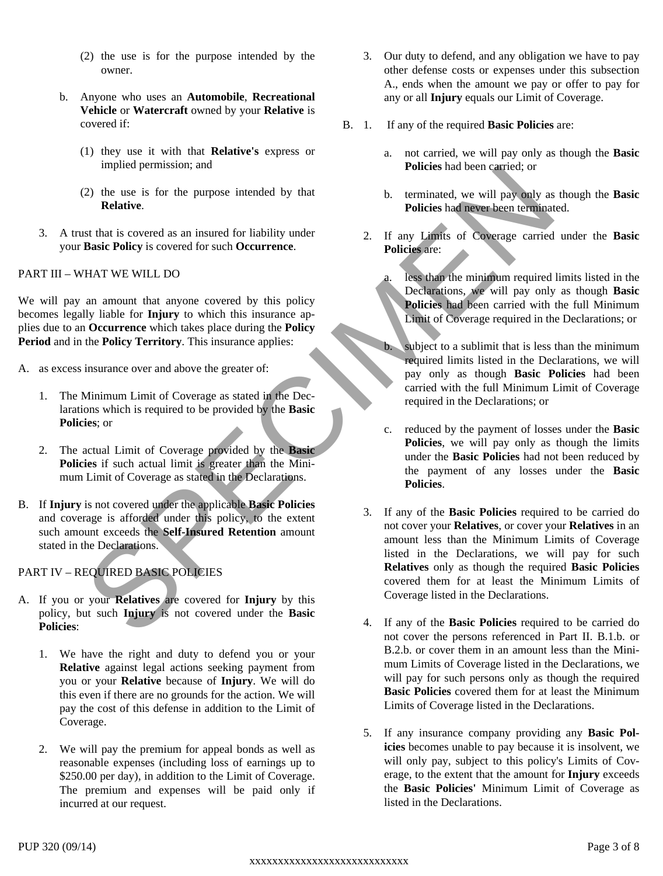- (2) the use is for the purpose intended by the owner.
- b. Anyone who uses an **Automobile**, **Recreational Vehicle** or **Watercraft** owned by your **Relative** is covered if:
	- (1) they use it with that **Relative's** express or implied permission; and
	- (2) the use is for the purpose intended by that **Relative**.
- 3. A trust that is covered as an insured for liability under your **Basic Policy** is covered for such **Occurrence**.

### PART III – WHAT WE WILL DO

We will pay an amount that anyone covered by this policy becomes legally liable for **Injury** to which this insurance applies due to an **Occurrence** which takes place during the **Policy Period** and in the **Policy Territory**. This insurance applies:

- A. as excess insurance over and above the greater of:
	- 1. The Minimum Limit of Coverage as stated in the Declarations which is required to be provided by the **Basic Policies**; or
	- 2. The actual Limit of Coverage provided by the **Basic** Policies if such actual limit is greater than the Minimum Limit of Coverage as stated in the Declarations.
- B. If **Injury** is not covered under the applicable **Basic Policies** and coverage is afforded under this policy, to the extent such amount exceeds the **Self-Insured Retention** amount stated in the Declarations.

### PART IV – REQUIRED BASIC POLICIES

- A. If you or your **Relatives** are covered for **Injury** by this policy, but such **Injury** is not covered under the **Basic Policies**:
	- 1. We have the right and duty to defend you or your **Relative** against legal actions seeking payment from you or your **Relative** because of **Injury**. We will do this even if there are no grounds for the action. We will pay the cost of this defense in addition to the Limit of Coverage.
	- 2. We will pay the premium for appeal bonds as well as reasonable expenses (including loss of earnings up to \$250.00 per day), in addition to the Limit of Coverage. The premium and expenses will be paid only if incurred at our request.
- 3. Our duty to defend, and any obligation we have to pay other defense costs or expenses under this subsection A., ends when the amount we pay or offer to pay for any or all **Injury** equals our Limit of Coverage.
- B. 1. If any of the required **Basic Policies** are:
	- a. not carried, we will pay only as though the **Basic Policies** had been carried; or
	- b. terminated, we will pay only as though the **Basic Policies** had never been terminated.
	- 2. If any Limits of Coverage carried under the **Basic Policies** are:
		- less than the minimum required limits listed in the Declarations, we will pay only as though **Basic Policies** had been carried with the full Minimum Limit of Coverage required in the Declarations; or
		- b. subject to a sublimit that is less than the minimum required limits listed in the Declarations, we will pay only as though **Basic Policies** had been carried with the full Minimum Limit of Coverage required in the Declarations; or
		- c. reduced by the payment of losses under the **Basic Policies**, we will pay only as though the limits under the **Basic Policies** had not been reduced by the payment of any losses under the **Basic Policies**.
- mapled permission; and<br>
2) Returns is for the purpose intended by that<br>
The use is for the purpose intended by that<br>
SPECIES in the second of the state<br>
SPECIES in the second properties of the state<br>
SPECIES in the second 3. If any of the **Basic Policies** required to be carried do not cover your **Relatives**, or cover your **Relatives** in an amount less than the Minimum Limits of Coverage listed in the Declarations, we will pay for such **Relatives** only as though the required **Basic Policies** covered them for at least the Minimum Limits of Coverage listed in the Declarations.
	- 4. If any of the **Basic Policies** required to be carried do not cover the persons referenced in Part II. B.1.b. or B.2.b. or cover them in an amount less than the Minimum Limits of Coverage listed in the Declarations, we will pay for such persons only as though the required **Basic Policies** covered them for at least the Minimum Limits of Coverage listed in the Declarations.
	- 5. If any insurance company providing any **Basic Policies** becomes unable to pay because it is insolvent, we will only pay, subject to this policy's Limits of Coverage, to the extent that the amount for **Injury** exceeds the **Basic Policies'** Minimum Limit of Coverage as listed in the Declarations.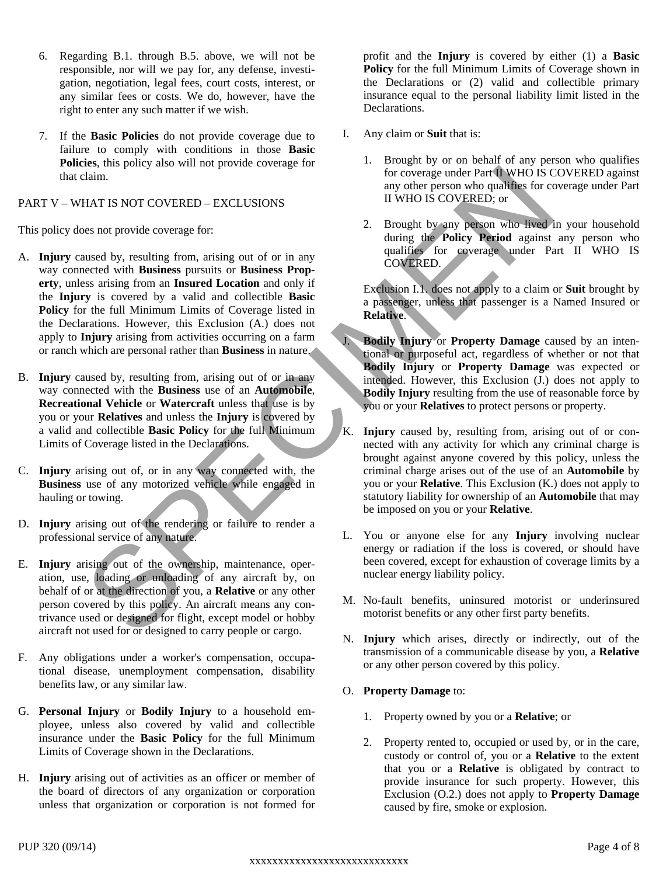- 6. Regarding B.1. through B.5. above, we will not be responsible, nor will we pay for, any defense, investigation, negotiation, legal fees, court costs, interest, or any similar fees or costs. We do, however, have the right to enter any such matter if we wish.
- 7. If the **Basic Policies** do not provide coverage due to failure to comply with conditions in those **Basic Policies**, this policy also will not provide coverage for that claim.

PART V – WHAT IS NOT COVERED – EXCLUSIONS

This policy does not provide coverage for:

- A. **Injury** caused by, resulting from, arising out of or in any way connected with **Business** pursuits or **Business Property**, unless arising from an **Insured Location** and only if the **Injury** is covered by a valid and collectible **Basic Policy** for the full Minimum Limits of Coverage listed in the Declarations. However, this Exclusion (A.) does not apply to **Injury** arising from activities occurring on a farm or ranch which are personal rather than **Business** in nature.
- B. **Injury** caused by, resulting from, arising out of or in any way connected with the **Business** use of an **Automobile**, **Recreational Vehicle** or **Watercraft** unless that use is by you or your **Relatives** and unless the **Injury** is covered by a valid and collectible **Basic Policy** for the full Minimum Limits of Coverage listed in the Declarations.
- C. Injury arising out of, or in any way connected with, the **Business** use of any motorized vehicle while engaged in hauling or towing.
- D. **Injury** arising out of the rendering or failure to render a professional service of any nature.
- E. **Injury** arising out of the ownership, maintenance, operation, use, loading or unloading of any aircraft by, on behalf of or at the direction of you, a **Relative** or any other person covered by this policy. An aircraft means any contrivance used or designed for flight, except model or hobby aircraft not used for or designed to carry people or cargo.
- F. Any obligations under a worker's compensation, occupational disease, unemployment compensation, disability benefits law, or any similar law.
- G. **Personal Injury** or **Bodily Injury** to a household employee, unless also covered by valid and collectible insurance under the **Basic Policy** for the full Minimum Limits of Coverage shown in the Declarations.
- H. **Injury** arising out of activities as an officer or member of the board of directors of any organization or corporation unless that organization or corporation is not formed for

profit and the **Injury** is covered by either (1) a **Basic Policy** for the full Minimum Limits of Coverage shown in the Declarations or (2) valid and collectible primary insurance equal to the personal liability limit listed in the Declarations.

- I. Any claim or **Suit** that is:
	- 1. Brought by or on behalf of any person who qualifies for coverage under Part II WHO IS COVERED against any other person who qualifies for coverage under Part II WHO IS COVERED; or
	- 2. Brought by any person who lived in your household during the **Policy Period** against any person who qualifies for coverage under Part II WHO IS COVERED.

Exclusion I.1. does not apply to a claim or **Suit** brought by a passenger, unless that passenger is a Named Insured or **Relative**.

- J. **Bodily Injury** or **Property Damage** caused by an intentional or purposeful act, regardless of whether or not that **Bodily Injury** or **Property Damage** was expected or intended. However, this Exclusion (J.) does not apply to **Bodily Injury** resulting from the use of reasonable force by you or your **Relatives** to protect persons or property.
- The strain of the condition of the control of the control of the control of the control of the control of the control of the strain of the control of the strain of the control of the strain of the control of the strain of K. **Injury** caused by, resulting from, arising out of or connected with any activity for which any criminal charge is brought against anyone covered by this policy, unless the criminal charge arises out of the use of an **Automobile** by you or your **Relative**. This Exclusion (K.) does not apply to statutory liability for ownership of an **Automobile** that may be imposed on you or your **Relative**.
	- L. You or anyone else for any **Injury** involving nuclear energy or radiation if the loss is covered, or should have been covered, except for exhaustion of coverage limits by a nuclear energy liability policy.
	- M. No-fault benefits, uninsured motorist or underinsured motorist benefits or any other first party benefits.
	- N. **Injury** which arises, directly or indirectly, out of the transmission of a communicable disease by you, a **Relative** or any other person covered by this policy.

### O. **Property Damage** to:

- 1. Property owned by you or a **Relative**; or
- 2. Property rented to, occupied or used by, or in the care, custody or control of, you or a **Relative** to the extent that you or a **Relative** is obligated by contract to provide insurance for such property. However, this Exclusion (O.2.) does not apply to **Property Damage** caused by fire, smoke or explosion.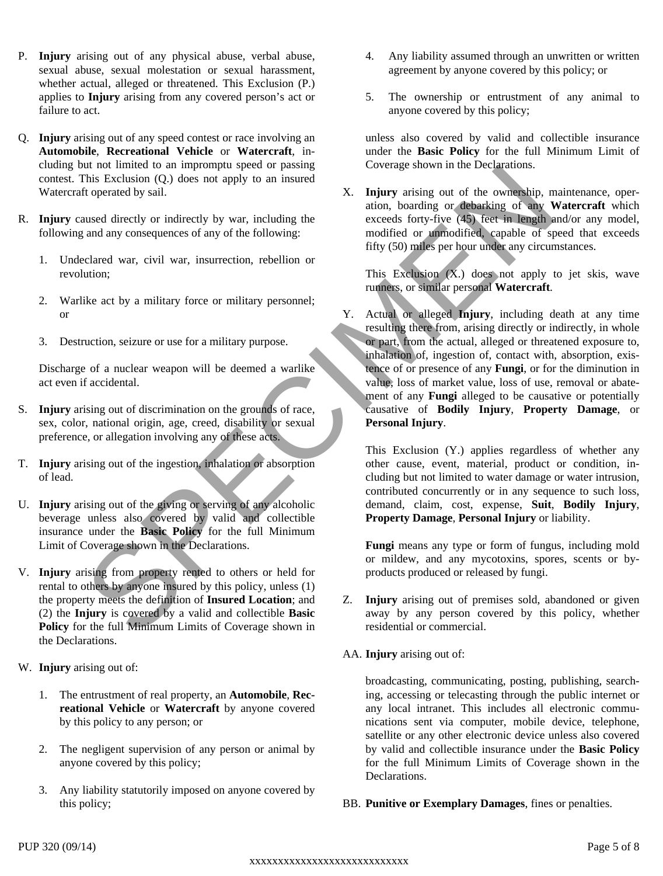- P. **Injury** arising out of any physical abuse, verbal abuse, sexual abuse, sexual molestation or sexual harassment, whether actual, alleged or threatened. This Exclusion (P.) applies to **Injury** arising from any covered person's act or failure to act.
- Q. **Injury** arising out of any speed contest or race involving an **Automobile**, **Recreational Vehicle** or**Watercraft**, including but not limited to an impromptu speed or passing contest. This Exclusion (Q.) does not apply to an insured Watercraft operated by sail.
- R. **Injury** caused directly or indirectly by war, including the following and any consequences of any of the following:
	- 1. Undeclared war, civil war, insurrection, rebellion or revolution;
	- 2. Warlike act by a military force or military personnel; or
	- 3. Destruction, seizure or use for a military purpose.

Discharge of a nuclear weapon will be deemed a warlike act even if accidental.

- S. **Injury** arising out of discrimination on the grounds of race, sex, color, national origin, age, creed, disability or sexual preference, or allegation involving any of these acts.
- T. **Injury** arising out of the ingestion, inhalation or absorption of lead.
- U. **Injury** arising out of the giving or serving of any alcoholic beverage unless also covered by valid and collectible insurance under the **Basic Policy** for the full Minimum Limit of Coverage shown in the Declarations.
- V. **Injury** arising from property rented to others or held for rental to others by anyone insured by this policy, unless (1) the property meets the definition of **Insured Location**; and (2) the **Injury** is covered by a valid and collectible **Basic Policy** for the full Minimum Limits of Coverage shown in the Declarations.
- W. **Injury** arising out of:
	- 1. The entrustment of real property, an **Automobile**, **Recreational Vehicle** or **Watercraft** by anyone covered by this policy to any person; or
	- 2. The negligent supervision of any person or animal by anyone covered by this policy;
	- 3. Any liability statutorily imposed on anyone covered by this policy;
- 4. Any liability assumed through an unwritten or written agreement by anyone covered by this policy; or
- 5. The ownership or entrustment of any animal to anyone covered by this policy;

unless also covered by valid and collectible insurance under the **Basic Policy** for the full Minimum Limit of Coverage shown in the Declarations.

X. **Injury** arising out of the ownership, maintenance, operation, boarding or debarking of any **Watercraft** which exceeds forty-five (45) feet in length and/or any model, modified or unmodified, capable of speed that exceeds fifty (50) miles per hour under any circumstances.

This Exclusion  $(X)$  does not apply to jet skis, wave runners, or similar personal **Watercraft**.

And the particular distance and the particular conditions of the extends of the particular conditions of the control of the section of the section of the section of the section of the section of the section of the section Y. Actual or alleged **Injury**, including death at any time resulting there from, arising directly or indirectly, in whole or part, from the actual, alleged or threatened exposure to, inhalation of, ingestion of, contact with, absorption, existence of or presence of any **Fungi**, or for the diminution in value, loss of market value, loss of use, removal or abatement of any **Fungi** alleged to be causative or potentially causative of **Bodily Injury**, **Property Damage**, or **Personal Injury**.

This Exclusion (Y.) applies regardless of whether any other cause, event, material, product or condition, including but not limited to water damage or water intrusion, contributed concurrently or in any sequence to such loss, demand, claim, cost, expense, **Suit**, **Bodily Injury**, **Property Damage**, **Personal Injury** or liability.

**Fungi** means any type or form of fungus, including mold or mildew, and any mycotoxins, spores, scents or byproducts produced or released by fungi.

- Z. **Injury** arising out of premises sold, abandoned or given away by any person covered by this policy, whether residential or commercial.
- AA. **Injury** arising out of:

broadcasting, communicating, posting, publishing, searching, accessing or telecasting through the public internet or any local intranet. This includes all electronic communications sent via computer, mobile device, telephone, satellite or any other electronic device unless also covered by valid and collectible insurance under the **Basic Policy** for the full Minimum Limits of Coverage shown in the Declarations.

BB. **Punitive or Exemplary Damages**, fines or penalties.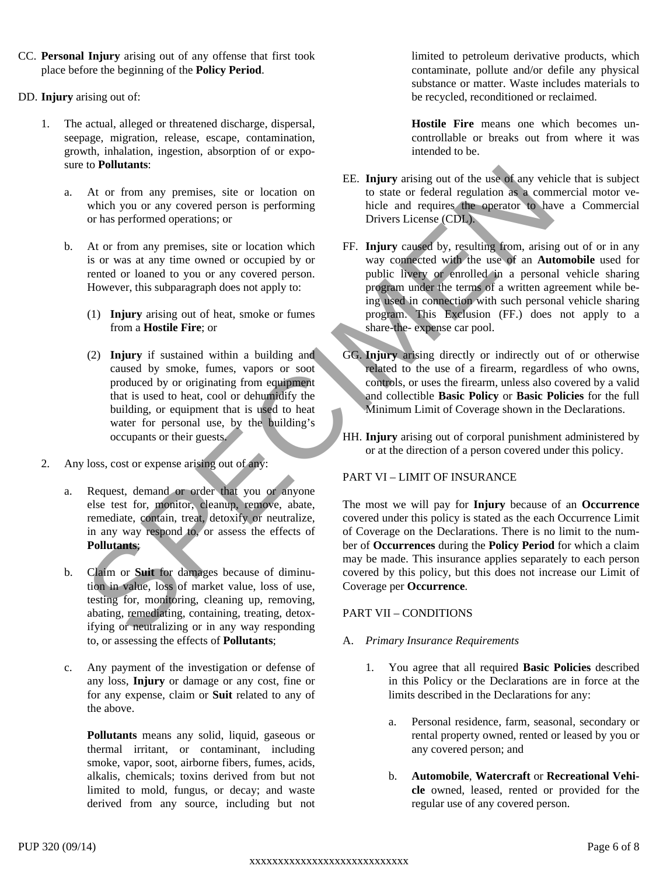- CC. **Personal Injury** arising out of any offense that first took place before the beginning of the **Policy Period**.
- DD. **Injury** arising out of:
	- 1. The actual, alleged or threatened discharge, dispersal, seepage, migration, release, escape, contamination, growth, inhalation, ingestion, absorption of or exposure to **Pollutants**:
		- a. At or from any premises, site or location on which you or any covered person is performing or has performed operations; or
		- b. At or from any premises, site or location which is or was at any time owned or occupied by or rented or loaned to you or any covered person. However, this subparagraph does not apply to:
			- (1) **Injury** arising out of heat, smoke or fumes from a **Hostile Fire**; or
			- (2) **Injury** if sustained within a building and caused by smoke, fumes, vapors or soot produced by or originating from equipment that is used to heat, cool or dehumidify the building, or equipment that is used to heat water for personal use, by the building's occupants or their guests.
	- 2. Any loss, cost or expense arising out of any:
		- a. Request, demand or order that you or anyone else test for, monitor, cleanup, remove, abate, remediate, contain, treat, detoxify or neutralize, in any way respond to, or assess the effects of **Pollutants**;
		- b. Claim or **Suit** for damages because of diminution in value, loss of market value, loss of use, testing for, monitoring, cleaning up, removing, abating, remediating, containing, treating, detoxifying or neutralizing or in any way responding to, or assessing the effects of **Pollutants**;
		- c. Any payment of the investigation or defense of any loss, **Injury** or damage or any cost, fine or for any expense, claim or **Suit** related to any of the above.

**Pollutants** means any solid, liquid, gaseous or thermal irritant, or contaminant, including smoke, vapor, soot, airborne fibers, fumes, acids, alkalis, chemicals; toxins derived from but not limited to mold, fungus, or decay; and waste derived from any source, including but not

limited to petroleum derivative products, which contaminate, pollute and/or defile any physical substance or matter. Waste includes materials to be recycled, reconditioned or reclaimed.

**Hostile Fire** means one which becomes uncontrollable or breaks out from where it was intended to be.

- EE. **Injury** arising out of the use of any vehicle that is subject to state or federal regulation as a commercial motor vehicle and requires the operator to have a Commercial Drivers License (CDL).
- to Politiciants.<br>
The correct proposition of the set of the two fits of the total in the set of the set of the set of the set of the set of the set of the set of the set of the set of the set of the set of the set of the FF. **Injury** caused by, resulting from, arising out of or in any way connected with the use of an **Automobile** used for public livery or enrolled in a personal vehicle sharing program under the terms of a written agreement while being used in connection with such personal vehicle sharing program. This Exclusion (FF.) does not apply to a share-the- expense car pool.
	- GG. **Injury** arising directly or indirectly out of or otherwise related to the use of a firearm, regardless of who owns, controls, or uses the firearm, unless also covered by a valid and collectible **Basic Policy** or **Basic Policies** for the full Minimum Limit of Coverage shown in the Declarations.
	- HH. **Injury** arising out of corporal punishment administered by or at the direction of a person covered under this policy.

#### PART VI – LIMIT OF INSURANCE

The most we will pay for **Injury** because of an **Occurrence** covered under this policy is stated as the each Occurrence Limit of Coverage on the Declarations. There is no limit to the number of **Occurrences** during the **Policy Period** for which aclaim may be made. This insurance applies separately to each person covered by this policy, but this does not increase our Limit of Coverage per**Occurrence**.

#### PART VII – CONDITIONS

#### A. *Primary Insurance Requirements*

- 1. You agree that all required **Basic Policies** described in this Policy or the Declarations are in force at the limits described in the Declarations for any:
	- a. Personal residence, farm, seasonal, secondary or rental property owned, rented or leased by you or any covered person; and
	- b. **Automobile**, **Watercraft** or **Recreational Vehicle** owned, leased, rented or provided for the regular use of any covered person.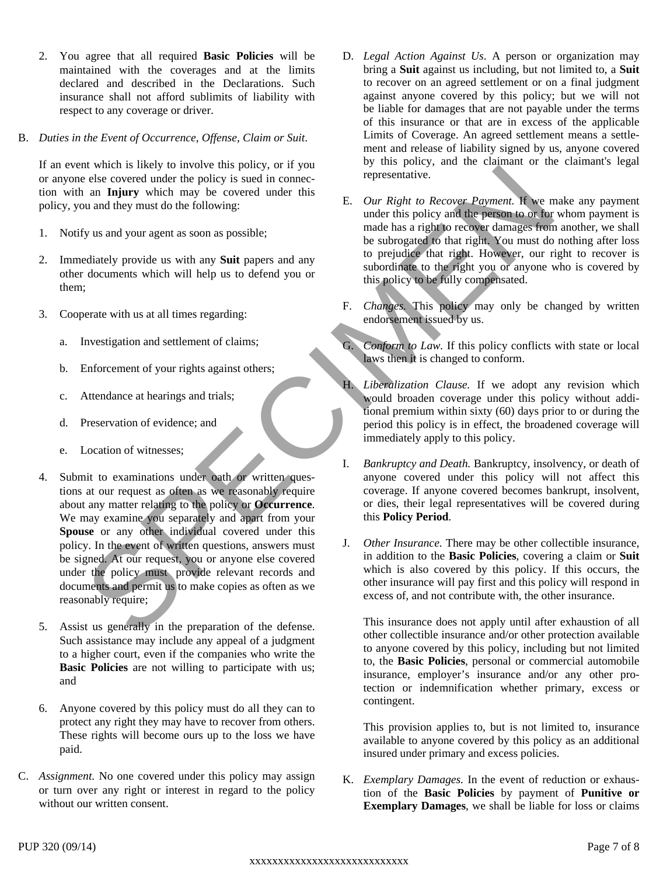- 2. You agree that all required **Basic Policies** will be maintained with the coverages and at the limits declared and described in the Declarations. Such insurance shall not afford sublimits of liability with respect to any coverage or driver.
- B. *Duties in the Event of Occurrence, Offense, Claim or Suit*.

If an event which is likely to involve this policy, or if you or anyone else covered under the policy is sued in connection with an **Injury** which may be covered under this policy, you and they must do the following:

- 1. Notify us and youragent as soon as possible;
- 2. Immediately provide us with any **Suit** papers and any other documents which will help us to defend you or them;
- 3. Cooperate with us at all times regarding:
	- a. Investigation and settlement of claims;
	- b. Enforcement of your rights against others;
	- c. Attendance at hearings and trials;
	- d. Preservation of evidence; and
	- e. Location of witnesses;
- At which is highly to move the policy is used in come to the proposition of evidence and proposition of the proposition of the proposition of the proposition of the proposition of the proposition of the proposition of the 4. Submit to examinations under oath or written questions at our request as often as we reasonably require about any matter relating to the policy or **Occurrence**. We may examine you separately and apart from your **Spouse** or any other individual covered under this policy. In the event of written questions, answers must be signed. At our request, you or anyone else covered under the policy must provide relevant records and documents and permit us to make copies as often as we reasonably require;
- 5. Assist us generally in the preparation of the defense. Such assistance may include any appeal of a judgment to a higher court, even if the companies who write the **Basic Policies** are not willing to participate with us; and
- 6. Anyone covered by this policy must do all they can to protect any right they may have to recover from others. These rights will become ours up to the loss we have paid.
- C. *Assignment.* No one covered under this policy may assign or turn over any right or interest in regard to the policy without our written consent.
- D. *Legal Action Against Us*. A person or organization may bring a **Suit** against us including, but not limited to, a **Suit** to recover on an agreed settlement or on a final judgment against anyone covered by this policy; but we will not be liable for damages that are not payable under the terms of this insurance or that are in excess of the applicable Limits of Coverage. An agreed settlement means a settlement and release of liability signed by us, anyone covered by this policy, and the claimant or the claimant's legal representative.
- E. *Our Right to Recover Payment.* If we make any payment under this policy and the person to or for whom payment is made has a right to recover damages from another, we shall be subrogated to that right. You must do nothing after loss to prejudice that right. However, our right to recover is subordinate to the right you or anyone who is covered by this policy to be fully compensated.
- F. *Changes.* This policy may only be changed by written endorsement issued by us.
- G. *Conform to Law.* If this policy conflicts with state or local laws then it is changed to conform.
- Liberalization Clause. If we adopt any revision which would broaden coverage under this policy without additional premium within sixty (60) days prior to or during the period this policy is in effect, the broadened coverage will immediately apply to this policy.
- I. *Bankruptcy and Death.* Bankruptcy, insolvency, or death of anyone covered under this policy will not affect this coverage. If anyone covered becomes bankrupt, insolvent, or dies, their legal representatives will be covered during this **Policy Period**.
- J. *Other Insurance.* There may be other collectible insurance, in addition to the **Basic Policies**, covering a claim or **Suit** which is also covered by this policy. If this occurs, the other insurance will pay first and this policy will respond in excess of, and not contribute with, the other insurance.

This insurance does not apply until after exhaustion of all other collectible insurance and/or other protection available to anyone covered by this policy, including but not limited to, the **Basic Policies**, personal or commercial automobile insurance, employer's insurance and/or any other protection or indemnification whether primary, excess or contingent.

This provision applies to, but is not limited to, insurance available to anyone covered by this policy as an additional insured under primary and excess policies.

K. *Exemplary Damages.* In the event of reduction or exhaustion of the **Basic Policies** by payment of **Punitive or Exemplary Damages**, we shall be liable for loss or claims